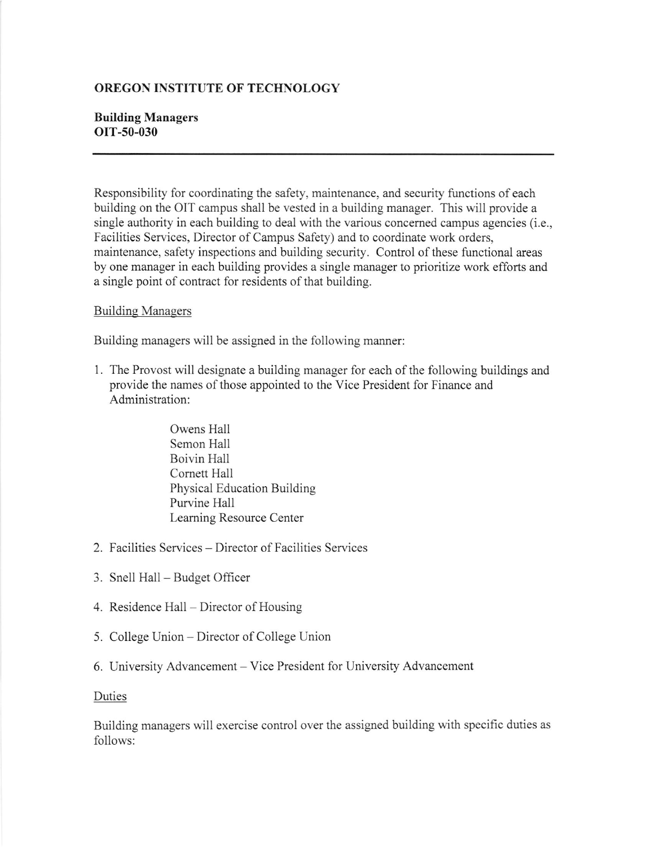## OREGON INSTITUTE OF TECHNOLOGY

## Building Managers OIT-50-030

Responsibility for coordinating the safety, maintenance, and security functions of each building on the OIT campus shall be vested in a building manager. This will provide a single authority in each building to deal with the various concemed campus agencies (i.e., Facilities Services, Director of Campus Safety) and to coordinate work orders, maintenance, safety inspections and building security. Control of these functional areas by one manager in each building provides a single manager to prioritize work efforts and a single point of contract for residents of that building.

## **Building Managers**

Building managers will be assigned in the following manner:

- <sup>1</sup>. The Provost will designate a building manager for each of the following buildings and provide the names of those appointed to the Vice President for Finance and Administration:
	- Owens Hall Semon Hall Boivin Hall Cornett Hall Physical Education Building Purvine Hall Leaming Resource Center
- 2. Facilities Services Director of Facilities Services
- 3. Snell Hall Budget Officer
- 4. Residence Hall Director of Housing
- 5. College Union Director of College Union
- 6. University Advancement Vice President for University Advancement

## Duties

Building managers will exercise control over the assigned building with specific duties as follows: